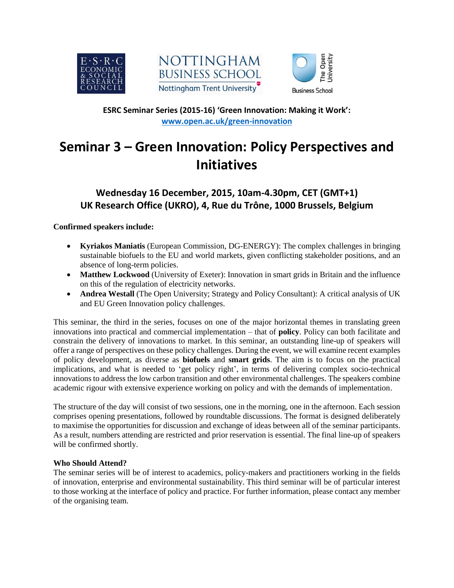





**ESRC Seminar Series (2015-16) 'Green Innovation: Making it Work': [www.open.ac.uk/green-innovation](http://www.open.ac.uk/green-innovation)**

# **Seminar 3 – Green Innovation: Policy Perspectives and Initiatives**

## **Wednesday 16 December, 2015, 10am-4.30pm, CET (GMT+1) UK Research Office (UKRO), 4, Rue du Trône, 1000 Brussels, Belgium**

**Confirmed speakers include:**

- **Kyriakos Maniatis** (European Commission, DG-ENERGY): The complex challenges in bringing sustainable biofuels to the EU and world markets, given conflicting stakeholder positions, and an absence of long-term policies.
- **Matthew Lockwood** (University of Exeter): Innovation in smart grids in Britain and the influence on this of the regulation of electricity networks.
- **Andrea Westall** (The Open University; Strategy and Policy Consultant): A critical analysis of UK and EU Green Innovation policy challenges.

This seminar, the third in the series, focuses on one of the major horizontal themes in translating green innovations into practical and commercial implementation – that of **policy**. Policy can both facilitate and constrain the delivery of innovations to market. In this seminar, an outstanding line-up of speakers will offer a range of perspectives on these policy challenges. During the event, we will examine recent examples of policy development, as diverse as **biofuels** and **smart grids**. The aim is to focus on the practical implications, and what is needed to 'get policy right', in terms of delivering complex socio-technical innovations to address the low carbon transition and other environmental challenges. The speakers combine academic rigour with extensive experience working on policy and with the demands of implementation.

The structure of the day will consist of two sessions, one in the morning, one in the afternoon. Each session comprises opening presentations, followed by roundtable discussions. The format is designed deliberately to maximise the opportunities for discussion and exchange of ideas between all of the seminar participants. As a result, numbers attending are restricted and prior reservation is essential. The final line-up of speakers will be confirmed shortly.

### **Who Should Attend?**

The seminar series will be of interest to academics, policy-makers and practitioners working in the fields of innovation, enterprise and environmental sustainability. This third seminar will be of particular interest to those working at the interface of policy and practice. For further information, please contact any member of the organising team.